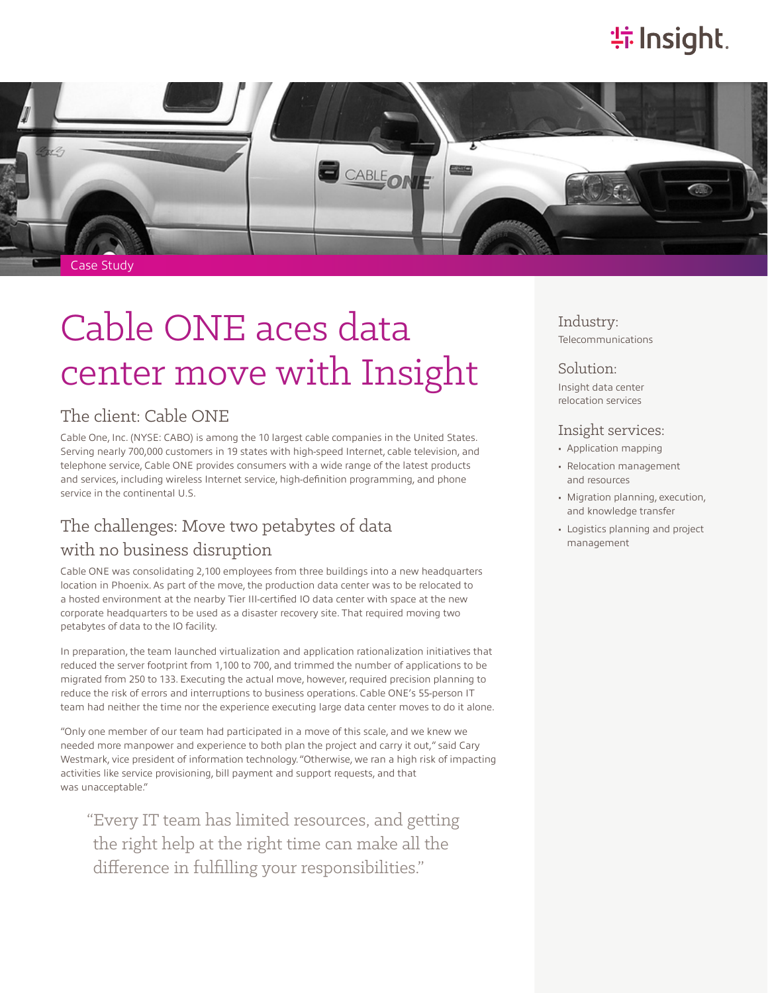## **特Insight**.



# Cable ONE aces data center move with Insight

## The client: Cable ONE

Cable One, Inc. (NYSE: CABO) is among the 10 largest cable companies in the United States. Serving nearly 700,000 customers in 19 states with high-speed Internet, cable television, and telephone service, Cable ONE provides consumers with a wide range of the latest products and services, including wireless Internet service, high-definition programming, and phone service in the continental U.S.

## The challenges: Move two petabytes of data

#### with no business disruption

Cable ONE was consolidating 2,100 employees from three buildings into a new headquarters location in Phoenix. As part of the move, the production data center was to be relocated to a hosted environment at the nearby Tier III-certified IO data center with space at the new corporate headquarters to be used as a disaster recovery site. That required moving two petabytes of data to the IO facility.

In preparation, the team launched virtualization and application rationalization initiatives that reduced the server footprint from 1,100 to 700, and trimmed the number of applications to be migrated from 250 to 133. Executing the actual move, however, required precision planning to reduce the risk of errors and interruptions to business operations. Cable ONE's 55-person IT team had neither the time nor the experience executing large data center moves to do it alone.

"Only one member of our team had participated in a move of this scale, and we knew we needed more manpower and experience to both plan the project and carry it out," said Cary Westmark, vice president of information technology. "Otherwise, we ran a high risk of impacting activities like service provisioning, bill payment and support requests, and that was unacceptable."

"Every IT team has limited resources, and getting the right help at the right time can make all the difference in fulfilling your responsibilities."

Industry: Telecommunications

#### Solution:

Insight data center relocation services

#### Insight services:

- Application mapping
- Relocation management and resources
- Migration planning, execution, and knowledge transfer
- Logistics planning and project management